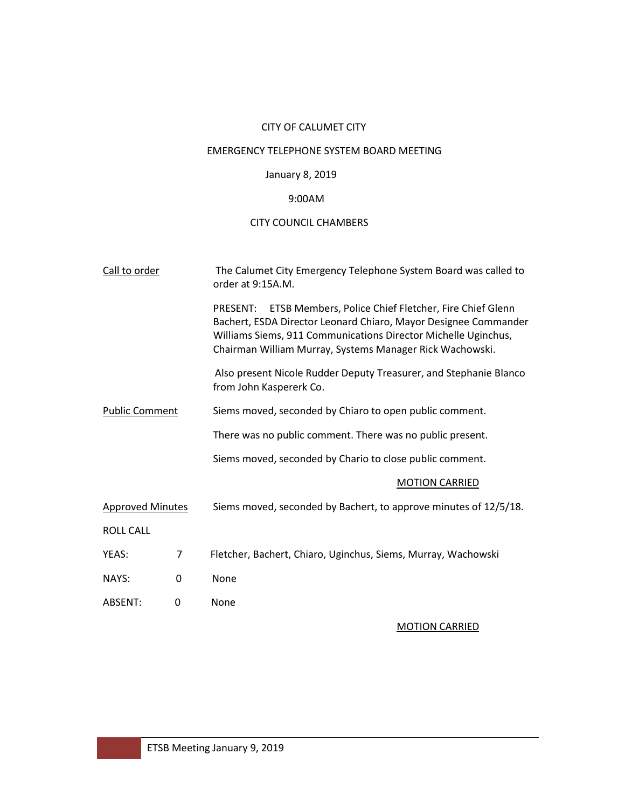## CITY OF CALUMET CITY

## EMERGENCY TELEPHONE SYSTEM BOARD MEETING

# January 8, 2019

## 9:00AM

## CITY COUNCIL CHAMBERS

| Call to order           |                | The Calumet City Emergency Telephone System Board was called to<br>order at 9:15A.M.                                                                                                                                                                               |  |  |  |  |  |
|-------------------------|----------------|--------------------------------------------------------------------------------------------------------------------------------------------------------------------------------------------------------------------------------------------------------------------|--|--|--|--|--|
|                         |                | ETSB Members, Police Chief Fletcher, Fire Chief Glenn<br>PRESENT:<br>Bachert, ESDA Director Leonard Chiaro, Mayor Designee Commander<br>Williams Siems, 911 Communications Director Michelle Uginchus,<br>Chairman William Murray, Systems Manager Rick Wachowski. |  |  |  |  |  |
|                         |                | Also present Nicole Rudder Deputy Treasurer, and Stephanie Blanco<br>from John Kaspererk Co.                                                                                                                                                                       |  |  |  |  |  |
| <b>Public Comment</b>   |                | Siems moved, seconded by Chiaro to open public comment.                                                                                                                                                                                                            |  |  |  |  |  |
|                         |                | There was no public comment. There was no public present.                                                                                                                                                                                                          |  |  |  |  |  |
|                         |                | Siems moved, seconded by Chario to close public comment.                                                                                                                                                                                                           |  |  |  |  |  |
|                         |                | <b>MOTION CARRIED</b>                                                                                                                                                                                                                                              |  |  |  |  |  |
| <b>Approved Minutes</b> |                | Siems moved, seconded by Bachert, to approve minutes of 12/5/18.                                                                                                                                                                                                   |  |  |  |  |  |
| <b>ROLL CALL</b>        |                |                                                                                                                                                                                                                                                                    |  |  |  |  |  |
| YEAS:                   | $\overline{7}$ | Fletcher, Bachert, Chiaro, Uginchus, Siems, Murray, Wachowski                                                                                                                                                                                                      |  |  |  |  |  |
| NAYS:                   | 0              | None                                                                                                                                                                                                                                                               |  |  |  |  |  |
| ABSENT:                 | 0              | None                                                                                                                                                                                                                                                               |  |  |  |  |  |

# MOTION CARRIED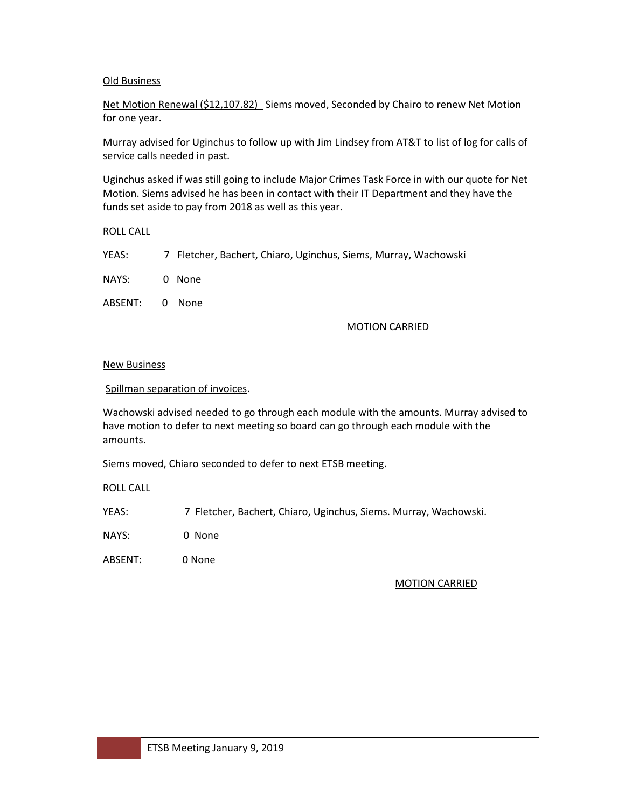## Old Business

Net Motion Renewal (\$12,107.82) Siems moved, Seconded by Chairo to renew Net Motion for one year.

Murray advised for Uginchus to follow up with Jim Lindsey from AT&T to list of log for calls of service calls needed in past.

Uginchus asked if was still going to include Major Crimes Task Force in with our quote for Net Motion. Siems advised he has been in contact with their IT Department and they have the funds set aside to pay from 2018 as well as this year.

ROLL CALL

YEAS: 7 Fletcher, Bachert, Chiaro, Uginchus, Siems, Murray, Wachowski

NAYS: 0 None

ABSENT: 0 None

#### MOTION CARRIED

#### New Business

Spillman separation of invoices.

Wachowski advised needed to go through each module with the amounts. Murray advised to have motion to defer to next meeting so board can go through each module with the amounts.

Siems moved, Chiaro seconded to defer to next ETSB meeting.

ROLL CALL

YEAS: 7 Fletcher, Bachert, Chiaro, Uginchus, Siems. Murray, Wachowski.

NAYS: 0 None

ABSENT: 0 None

### MOTION CARRIED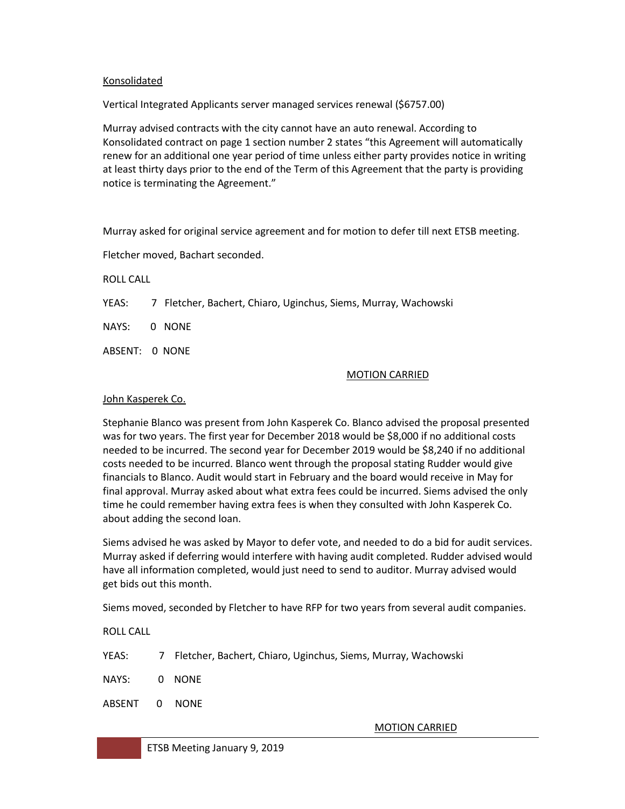## Konsolidated

Vertical Integrated Applicants server managed services renewal (\$6757.00)

Murray advised contracts with the city cannot have an auto renewal. According to Konsolidated contract on page 1 section number 2 states "this Agreement will automatically renew for an additional one year period of time unless either party provides notice in writing at least thirty days prior to the end of the Term of this Agreement that the party is providing notice is terminating the Agreement."

Murray asked for original service agreement and for motion to defer till next ETSB meeting.

Fletcher moved, Bachart seconded.

ROLL CALL

YEAS: 7 Fletcher, Bachert, Chiaro, Uginchus, Siems, Murray, Wachowski

NAYS: 0 NONE

ABSENT: 0 NONE

### MOTION CARRIED

## John Kasperek Co.

Stephanie Blanco was present from John Kasperek Co. Blanco advised the proposal presented was for two years. The first year for December 2018 would be \$8,000 if no additional costs needed to be incurred. The second year for December 2019 would be \$8,240 if no additional costs needed to be incurred. Blanco went through the proposal stating Rudder would give financials to Blanco. Audit would start in February and the board would receive in May for final approval. Murray asked about what extra fees could be incurred. Siems advised the only time he could remember having extra fees is when they consulted with John Kasperek Co. about adding the second loan.

Siems advised he was asked by Mayor to defer vote, and needed to do a bid for audit services. Murray asked if deferring would interfere with having audit completed. Rudder advised would have all information completed, would just need to send to auditor. Murray advised would get bids out this month.

Siems moved, seconded by Fletcher to have RFP for two years from several audit companies.

ROLL CALL

| YEAS: |  |  |  | 7 Fletcher, Bachert, Chiaro, Uginchus, Siems, Murray, Wachowski |
|-------|--|--|--|-----------------------------------------------------------------|
|       |  |  |  |                                                                 |

- NAYS: 0 NONE
- ABSENT 0 NONE

MOTION CARRIED